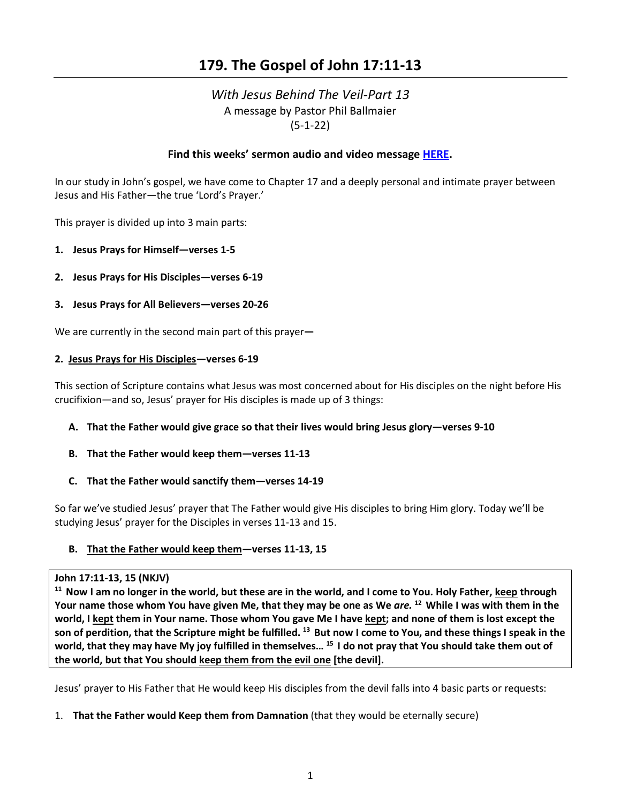# **179. The Gospel of John 17:11-13**

# *With Jesus Behind The Veil-Part 13*  A message by Pastor Phil Ballmaier (5-1-22)

### **Find this weeks' sermon audio and video message [HERE.](http://www.ccelkgrove.org/sunday-archives)**

In our study in John's gospel, we have come to Chapter 17 and a deeply personal and intimate prayer between Jesus and His Father—the true 'Lord's Prayer.'

This prayer is divided up into 3 main parts:

- **1. Jesus Prays for Himself—verses 1-5**
- **2. Jesus Prays for His Disciples—verses 6-19**
- **3. Jesus Prays for All Believers—verses 20-26**

We are currently in the second main part of this prayer**—** 

#### **2. Jesus Prays for His Disciples—verses 6-19**

This section of Scripture contains what Jesus was most concerned about for His disciples on the night before His crucifixion—and so, Jesus' prayer for His disciples is made up of 3 things:

#### **A. That the Father would give grace so that their lives would bring Jesus glory—verses 9-10**

**B. That the Father would keep them—verses 11-13**

### **C. That the Father would sanctify them—verses 14-19**

So far we've studied Jesus' prayer that The Father would give His disciples to bring Him glory. Today we'll be studying Jesus' prayer for the Disciples in verses 11-13 and 15.

### **B. That the Father would keep them—verses 11-13, 15**

**John 17:11-13, 15 (NKJV)**<br><sup>11</sup> Now I am no longer in the world, but these are in the world, and I come to You. Holy Father, keep through **Your name those whom You have given Me, that they may be one as We** *are.* **12 While I was with them in the world, I kept them in Your name. Those whom You gave Me I have kept; and none of them is lost except the son of perdition, that the Scripture might be fulfilled. 13 But now I come to You, and these things I speak in the world, that they may have My joy fulfilled in themselves… 15 I do not pray that You should take them out of the world, but that You should keep them from the evil one [the devil].** 

Jesus' prayer to His Father that He would keep His disciples from the devil falls into 4 basic parts or requests:

1. **That the Father would Keep them from Damnation** (that they would be eternally secure)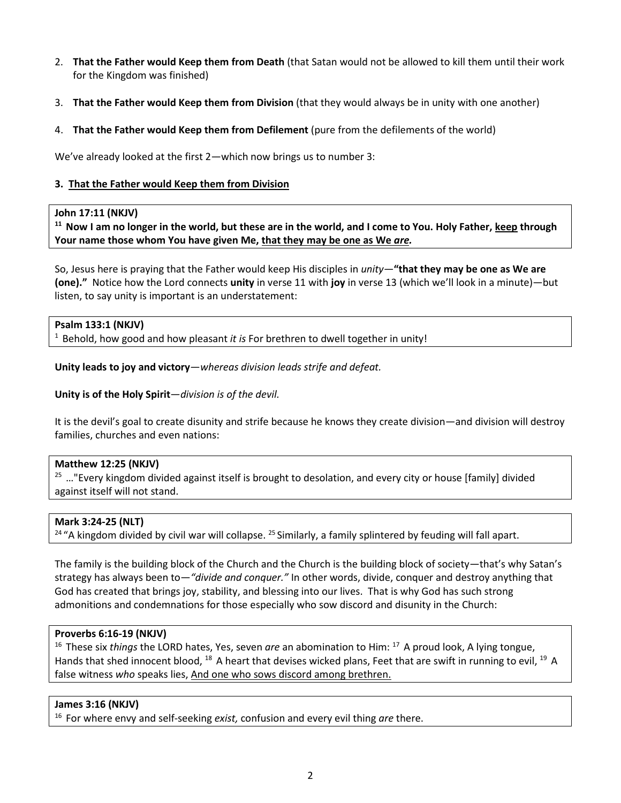- 2. **That the Father would Keep them from Death** (that Satan would not be allowed to kill them until their work for the Kingdom was finished)
- 3. **That the Father would Keep them from Division** (that they would always be in unity with one another)
- 4. **That the Father would Keep them from Defilement** (pure from the defilements of the world)

We've already looked at the first 2—which now brings us to number 3:

#### **3. That the Father would Keep them from Division**

#### **John 17:11 (NKJV)**

**11 Now I am no longer in the world, but these are in the world, and I come to You. Holy Father, keep through Your name those whom You have given Me, that they may be one as We** *are.*

So, Jesus here is praying that the Father would keep His disciples in *unity*—**"that they may be one as We are (one)."** Notice how the Lord connects **unity** in verse 11 with **joy** in verse 13 (which we'll look in a minute)—but listen, to say unity is important is an understatement:

#### **Psalm 133:1 (NKJV)**

1 Behold, how good and how pleasant *it is* For brethren to dwell together in unity!

**Unity leads to joy and victory**—*whereas division leads strife and defeat.*

#### **Unity is of the Holy Spirit**—*division is of the devil.*

It is the devil's goal to create disunity and strife because he knows they create division—and division will destroy families, churches and even nations:

#### **Matthew 12:25 (NKJV)**

 $25$  ..."Every kingdom divided against itself is brought to desolation, and every city or house [family] divided against itself will not stand.

#### **Mark 3:24-25 (NLT)**

<sup>24</sup> "A kingdom divided by civil war will collapse. <sup>25</sup> Similarly, a family splintered by feuding will fall apart.

The family is the building block of the Church and the Church is the building block of society—that's why Satan's strategy has always been to—*"divide and conquer."* In other words, divide, conquer and destroy anything that God has created that brings joy, stability, and blessing into our lives. That is why God has such strong admonitions and condemnations for those especially who sow discord and disunity in the Church:

#### **Proverbs 6:16-19 (NKJV)**

<sup>16</sup> These six *things* the LORD hates, Yes, seven *are* an abomination to Him: <sup>17</sup> A proud look, A lying tongue, Hands that shed innocent blood, <sup>18</sup> A heart that devises wicked plans, Feet that are swift in running to evil, <sup>19</sup> A false witness *who* speaks lies, And one who sows discord among brethren.

#### **James 3:16 (NKJV)**

16 For where envy and self-seeking *exist,* confusion and every evil thing *are* there.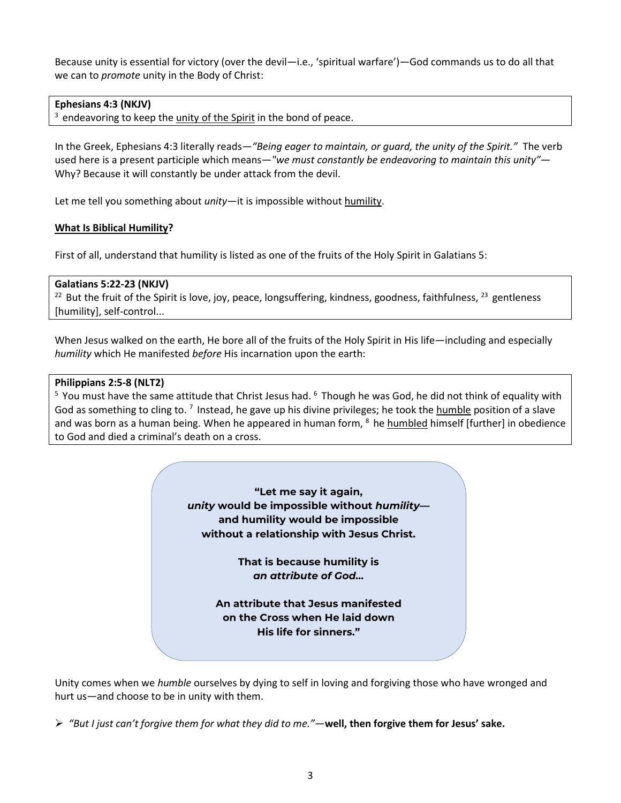Because unity is essential for victory (over the devil—i.e., 'spiritual warfare')—God commands us to do all that we can to *promote* unity in the Body of Christ:

### **Ephesians 4:3 (NKJV)**

 $3$  endeavoring to keep the unity of the Spirit in the bond of peace.

In the Greek, Ephesians 4:3 literally reads—*"Being eager to maintain, or guard, the unity of the Spirit."* The verb used here is a present participle which means—*"we must constantly be endeavoring to maintain this unity"*— Why? Because it will constantly be under attack from the devil.

Let me tell you something about *unity*—it is impossible without humility.

### **What Is Biblical Humility?**

First of all, understand that humility is listed as one of the fruits of the Holy Spirit in Galatians 5:

### **Galatians 5:22-23 (NKJV)**

 $22$  But the fruit of the Spirit is love, joy, peace, longsuffering, kindness, goodness, faithfulness,  $23$  gentleness [humility], self-control...

When Jesus walked on the earth, He bore all of the fruits of the Holy Spirit in His life—including and especially *humility* which He manifested *before* His incarnation upon the earth:

#### **Philippians 2:5-8 (NLT2)**

<sup>5</sup> You must have the same attitude that Christ Jesus had. <sup>6</sup> Though he was God, he did not think of equality with God as something to cling to.  $^7$  Instead, he gave up his divine privileges; he took the humble position of a slave and was born as a human being. When he appeared in human form,  $8$  he humbled himself [further] in obedience to God and died a criminal's death on a cross.

> **"Let me say it again,** *unity* **would be impossible without** *humility* **and humility would be impossible without a relationship with Jesus Christ.**

> > **That is because humility is** *an attribute of God…*

**An attribute that Jesus manifested on the Cross when He laid down His life for sinners."** 

Unity comes when we *humble* ourselves by dying to self in loving and forgiving those who have wronged and hurt us—and choose to be in unity with them.

*"But I just can't forgive them for what they did to me."—***well, then forgive them for Jesus' sake.**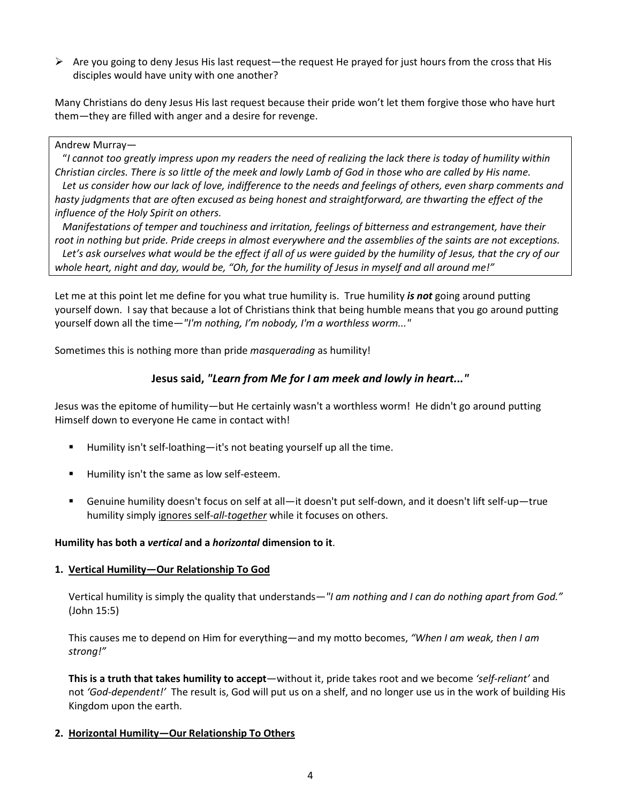$\triangleright$  Are you going to deny Jesus His last request—the request He prayed for just hours from the cross that His disciples would have unity with one another?

Many Christians do deny Jesus His last request because their pride won't let them forgive those who have hurt them—they are filled with anger and a desire for revenge.

#### Andrew Murray—

 "*I cannot too greatly impress upon my readers the need of realizing the lack there is today of humility within Christian circles. There is so little of the meek and lowly Lamb of God in those who are called by His name.*  Let us consider how our lack of love, indifference to the needs and feelings of others, even sharp comments and *hasty judgments that are often excused as being honest and straightforward, are thwarting the effect of the influence of the Holy Spirit on others.* 

 *Manifestations of temper and touchiness and irritation, feelings of bitterness and estrangement, have their root in nothing but pride. Pride creeps in almost everywhere and the assemblies of the saints are not exceptions. Let's ask ourselves what would be the effect if all of us were guided by the humility of Jesus, that the cry of our whole heart, night and day, would be, "Oh, for the humility of Jesus in myself and all around me!"*

Let me at this point let me define for you what true humility is. True humility *is not* going around putting yourself down. I say that because a lot of Christians think that being humble means that you go around putting yourself down all the time—*"I'm nothing, I'm nobody, I'm a worthless worm..."*

Sometimes this is nothing more than pride *masquerading* as humility!

# **Jesus said,** *"Learn from Me for I am meek and lowly in heart..."*

Jesus was the epitome of humility—but He certainly wasn't a worthless worm! He didn't go around putting Himself down to everyone He came in contact with!

- $\blacksquare$  Humility isn't self-loathing—it's not beating yourself up all the time.
- **Humility isn't the same as low self-esteem.**
- Genuine humility doesn't focus on self at all—it doesn't put self-down, and it doesn't lift self-up—true humility simply ignores self-*all-together* while it focuses on others.

### **Humility has both a** *vertical* **and a** *horizontal* **dimension to it**.

#### **1. Vertical Humility—Our Relationship To God**

Vertical humility is simply the quality that understands—*"I am nothing and I can do nothing apart from God."* (John 15:5)

This causes me to depend on Him for everything—and my motto becomes, *"When I am weak, then I am strong!"*

**This is a truth that takes humility to accept**—without it, pride takes root and we become *'self-reliant'* and not *'God-dependent!'* The result is, God will put us on a shelf, and no longer use us in the work of building His Kingdom upon the earth.

### **2. Horizontal Humility—Our Relationship To Others**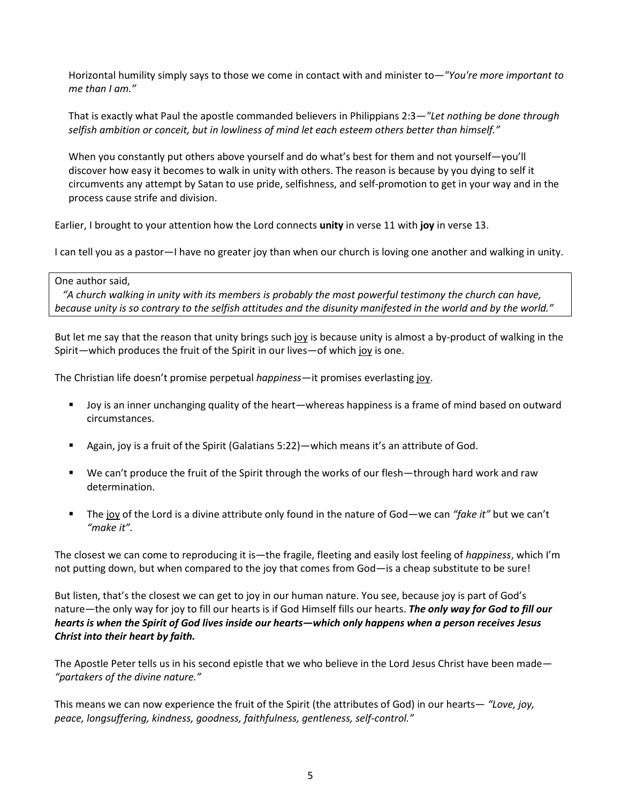Horizontal humility simply says to those we come in contact with and minister to—*"You're more important to me than I am."*

That is exactly what Paul the apostle commanded believers in Philippians 2:3*—"Let nothing be done through selfish ambition or conceit, but in lowliness of mind let each esteem others better than himself."*

When you constantly put others above yourself and do what's best for them and not yourself—you'll discover how easy it becomes to walk in unity with others. The reason is because by you dying to self it circumvents any attempt by Satan to use pride, selfishness, and self-promotion to get in your way and in the process cause strife and division.

Earlier, I brought to your attention how the Lord connects **unity** in verse 11 with **joy** in verse 13.

I can tell you as a pastor—I have no greater joy than when our church is loving one another and walking in unity.

#### One author said,

 *"A church walking in unity with its members is probably the most powerful testimony the church can have, because unity is so contrary to the selfish attitudes and the disunity manifested in the world and by the world."*

But let me say that the reason that unity brings such joy is because unity is almost a by-product of walking in the Spirit—which produces the fruit of the Spirit in our lives—of which joy is one.

The Christian life doesn't promise perpetual *happiness*—it promises everlasting joy.

- Joy is an inner unchanging quality of the heart—whereas happiness is a frame of mind based on outward circumstances.
- Again, joy is a fruit of the Spirit (Galatians 5:22)—which means it's an attribute of God.
- We can't produce the fruit of the Spirit through the works of our flesh—through hard work and raw determination.
- The joy of the Lord is a divine attribute only found in the nature of God—we can *"fake it"* but we can't *"make it".*

The closest we can come to reproducing it is—the fragile, fleeting and easily lost feeling of *happiness*, which I'm not putting down, but when compared to the joy that comes from God—is a cheap substitute to be sure!

But listen, that's the closest we can get to joy in our human nature. You see, because joy is part of God's nature—the only way for joy to fill our hearts is if God Himself fills our hearts. *The only way for God to fill our hearts is when the Spirit of God lives inside our hearts—which only happens when a person receives Jesus Christ into their heart by faith.*

The Apostle Peter tells us in his second epistle that we who believe in the Lord Jesus Christ have been made— *"partakers of the divine nature."*

This means we can now experience the fruit of the Spirit (the attributes of God) in our hearts— *"Love, joy, peace, longsuffering, kindness, goodness, faithfulness, gentleness, self-control."*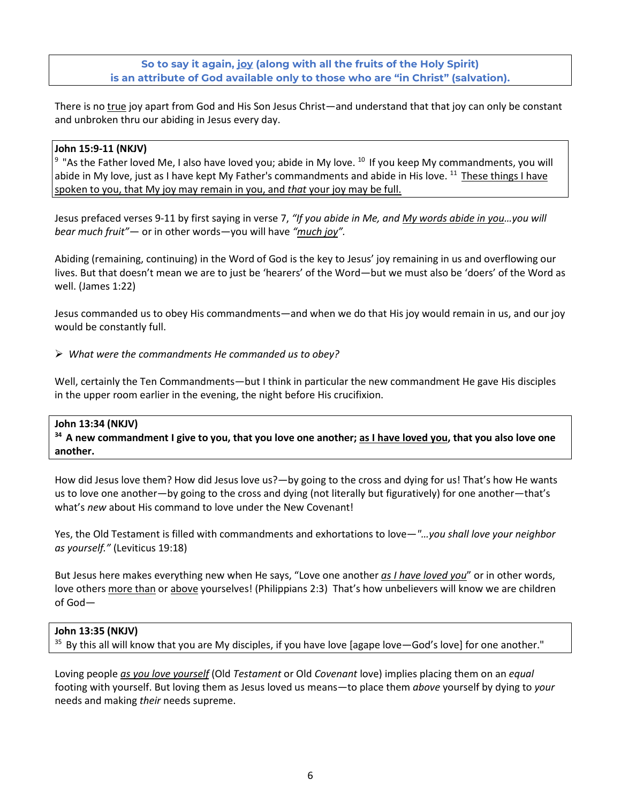# **So to say it again, joy (along with all the fruits of the Holy Spirit) is an attribute of God available only to those who are "in Christ" (salvation).**

There is no true joy apart from God and His Son Jesus Christ—and understand that that joy can only be constant and unbroken thru our abiding in Jesus every day.

# **John 15:9-11 (NKJV)**

<sup>9</sup> "As the Father loved Me, I also have loved you; abide in My love. <sup>10</sup> If you keep My commandments, you will abide in My love, just as I have kept My Father's commandments and abide in His love. <sup>11</sup> These things I have spoken to you, that My joy may remain in you, and *that* your joy may be full.

Jesus prefaced verses 9-11 by first saying in verse 7, *"If you abide in Me, and My words abide in you…you will bear much fruit"*— or in other words—you will have *"much joy".*

Abiding (remaining, continuing) in the Word of God is the key to Jesus' joy remaining in us and overflowing our lives. But that doesn't mean we are to just be 'hearers' of the Word—but we must also be 'doers' of the Word as well. (James 1:22)

Jesus commanded us to obey His commandments—and when we do that His joy would remain in us, and our joy would be constantly full.

### *What were the commandments He commanded us to obey?*

Well, certainly the Ten Commandments—but I think in particular the new commandment He gave His disciples in the upper room earlier in the evening, the night before His crucifixion.

### **John 13:34 (NKJV)**

<sup>34</sup> A new commandment I give to you, that you love one another; as I have loved you, that you also love one **another.**

How did Jesus love them? How did Jesus love us?—by going to the cross and dying for us! That's how He wants us to love one another—by going to the cross and dying (not literally but figuratively) for one another—that's what's *new* about His command to love under the New Covenant!

Yes, the Old Testament is filled with commandments and exhortations to love—*"…you shall love your neighbor as yourself."* (Leviticus 19:18)

But Jesus here makes everything new when He says, "Love one another *as I have loved you*" or in other words, love others more than or above yourselves! (Philippians 2:3) That's how unbelievers will know we are children of God—

### **John 13:35 (NKJV)**

<sup>35</sup> By this all will know that you are My disciples, if you have love [agape love—God's love] for one another."

Loving people *as you love yourself* (Old *Testament* or Old *Covenant* love) implies placing them on an *equal* footing with yourself. But loving them as Jesus loved us means—to place them *above* yourself by dying to *your* needs and making *their* needs supreme.